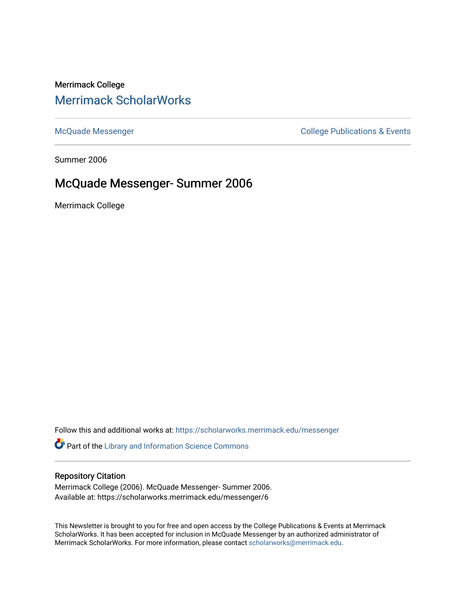# Merrimack College [Merrimack ScholarWorks](https://scholarworks.merrimack.edu/)

[McQuade Messenger](https://scholarworks.merrimack.edu/messenger) College Publications & Events

Summer 2006

## McQuade Messenger- Summer 2006

Merrimack College

Follow this and additional works at: [https://scholarworks.merrimack.edu/messenger](https://scholarworks.merrimack.edu/messenger?utm_source=scholarworks.merrimack.edu%2Fmessenger%2F6&utm_medium=PDF&utm_campaign=PDFCoverPages) 

Part of the [Library and Information Science Commons](http://network.bepress.com/hgg/discipline/1018?utm_source=scholarworks.merrimack.edu%2Fmessenger%2F6&utm_medium=PDF&utm_campaign=PDFCoverPages) 

#### Repository Citation

Merrimack College (2006). McQuade Messenger- Summer 2006. Available at: https://scholarworks.merrimack.edu/messenger/6

This Newsletter is brought to you for free and open access by the College Publications & Events at Merrimack ScholarWorks. It has been accepted for inclusion in McQuade Messenger by an authorized administrator of Merrimack ScholarWorks. For more information, please contact [scholarworks@merrimack.edu](mailto:scholarworks@merrimack.edu).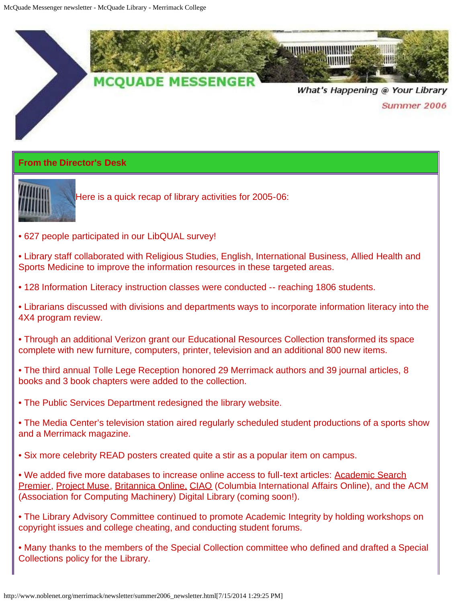

## **From the Director's Desk**



Here is a quick recap of library activities for 2005-06:

- 627 people participated in our LibQUAL survey!
- Library staff collaborated with Religious Studies, English, International Business, Allied Health and Sports Medicine to improve the information resources in these targeted areas.
- 128 Information Literacy instruction classes were conducted -- reaching 1806 students.
- Librarians discussed with divisions and departments ways to incorporate information literacy into the 4X4 program review.
- Through an additional Verizon grant our Educational Resources Collection transformed its space complete with new furniture, computers, printer, television and an additional 800 new items.
- The third annual Tolle Lege Reception honored 29 Merrimack authors and 39 journal articles, 8 books and 3 book chapters were added to the collection.
- The Public Services Department redesigned the library website.
- The Media Center's television station aired regularly scheduled student productions of a sports show and a Merrimack magazine.
- Six more celebrity READ posters created quite a stir as a popular item on campus.
- We added five more databases to increase online access to full-text articles: [Academic Search](http://proxy3.noblenet.org/login?url=http://search.epnet.com/login.aspx?authtype=cookie,ip,cpid&custid=mer&profile=ehost&defaultdb=aph) [Premier](http://proxy3.noblenet.org/login?url=http://search.epnet.com/login.aspx?authtype=cookie,ip,cpid&custid=mer&profile=ehost&defaultdb=aph), [Project Muse,](http://proxy3.noblenet.org/login?url=http://muse.jhu.edu/search/search.cgi) [Britannica Online,](http://proxy3.noblenet.org/login?url=http://new.search.eb.com/) [CIAO](http://proxy3.noblenet.org/login?url=http://www.ciaonet.org/) (Columbia International Affairs Online), and the ACM (Association for Computing Machinery) Digital Library (coming soon!).
- The Library Advisory Committee continued to promote Academic Integrity by holding workshops on copyright issues and college cheating, and conducting student forums.
- Many thanks to the members of the Special Collection committee who defined and drafted a Special Collections policy for the Library.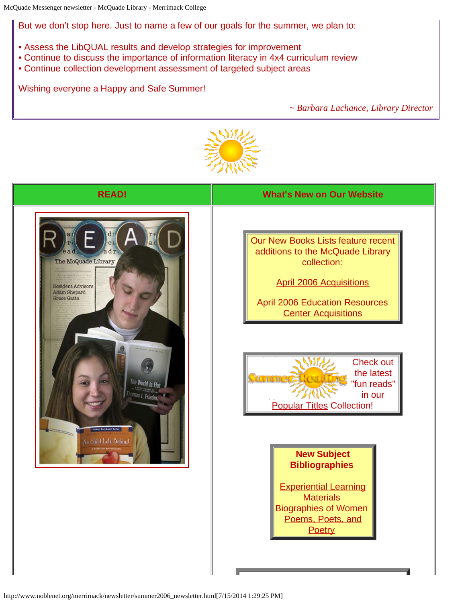But we don't stop here. Just to name a few of our goals for the summer, we plan to:

- Assess the LibQUAL results and develop strategies for improvement
- Continue to discuss the importance of information literacy in 4x4 curriculum review
- Continue collection development assessment of targeted subject areas

Wishing everyone a Happy and Safe Summer!

*~ Barbara Lachance, Library Director*



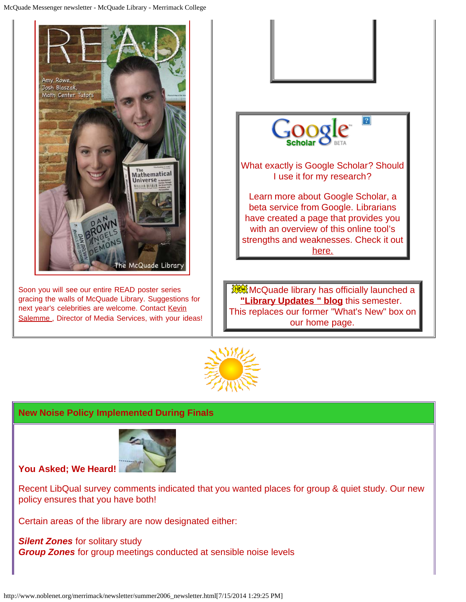



#### **New Noise Policy Implemented During Finals**



**You Asked; We Heard!**

Recent LibQual survey comments indicated that you wanted places for group & quiet study. Our new policy ensures that you have both!

Certain areas of the library are now designated either:

*Silent Zones* for solitary study *Group Zones* for group meetings conducted at sensible noise levels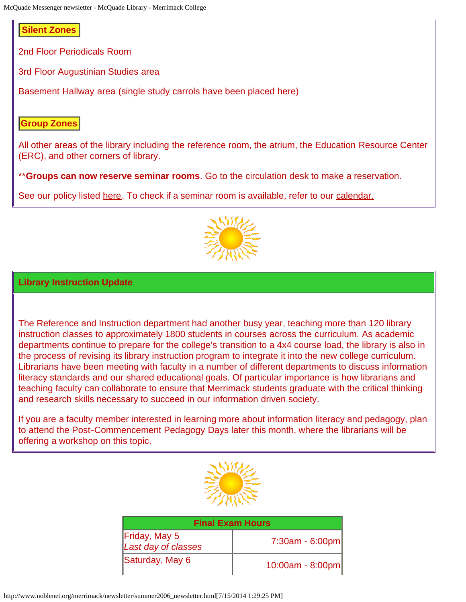### **Silent Zones**

2nd Floor Periodicals Room

3rd Floor Augustinian Studies area

Basement Hallway area (single study carrols have been placed here)

### **Group Zones**

All other areas of the library including the reference room, the atrium, the Education Resource Center (ERC), and other corners of library.

\*\***Groups can now reserve seminar rooms**. Go to the circulation desk to make a reservation.

See our policy listed [here](http://www.noblenet.org/merrimack/polsem.htm). To check if a seminar room is available, refer to our [calendar.](http://www.noblenet.org/cgi-bin/Calcium/Calcium?CalendarName=merrimack_seminar_room&Op=ShowIt)



#### **Library Instruction Update**

The Reference and Instruction department had another busy year, teaching more than 120 library instruction classes to approximately 1800 students in courses across the curriculum. As academic departments continue to prepare for the college's transition to a 4x4 course load, the library is also in the process of revising its library instruction program to integrate it into the new college curriculum. Librarians have been meeting with faculty in a number of different departments to discuss information literacy standards and our shared educational goals. Of particular importance is how librarians and teaching faculty can collaborate to ensure that Merrimack students graduate with the critical thinking and research skills necessary to succeed in our information driven society.

If you are a faculty member interested in learning more about information literacy and pedagogy, plan to attend the Post-Commencement Pedagogy Days later this month, where the librarians will be offering a workshop on this topic.



| <b>Final Exam Hours</b>                     |                    |
|---------------------------------------------|--------------------|
| <b>Friday, May 5</b><br>Last day of classes | $7:30am - 6:00pm$  |
| Saturday, May 6                             | $10:00am - 8:00pm$ |